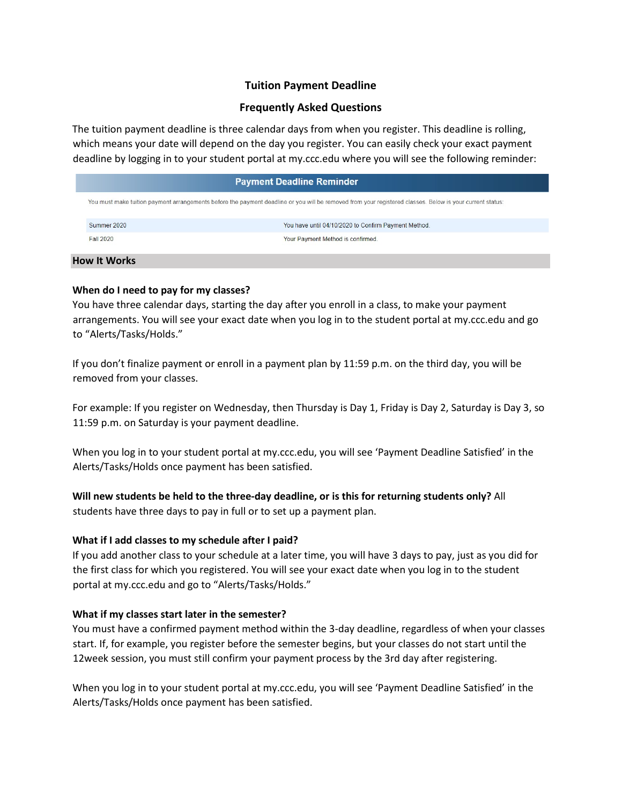## **Tuition Payment Deadline**

## **Frequently Asked Questions**

The tuition payment deadline is three calendar days from when you register. This deadline is rolling, which means your date will depend on the day you register. You can easily check your exact payment deadline by logging in to your student portal at my.ccc.edu where you will see the following reminder:

| <b>Payment Deadline Reminder</b> |                                                                                                                                                           |  |  |  |
|----------------------------------|-----------------------------------------------------------------------------------------------------------------------------------------------------------|--|--|--|
|                                  | You must make tuition payment arrangements before the payment deadline or you will be removed from your registered classes. Below is your current status: |  |  |  |
| Summer 2020                      | You have until 04/10/2020 to Confirm Payment Method.                                                                                                      |  |  |  |
| <b>Fall 2020</b>                 | Your Payment Method is confirmed.                                                                                                                         |  |  |  |

#### **How It Works**

ı

## **When do I need to pay for my classes?**

You have three calendar days, starting the day after you enroll in a class, to make your payment arrangements. You will see your exact date when you log in to the student portal at my.ccc.edu and go to "Alerts/Tasks/Holds."

If you don't finalize payment or enroll in a payment plan by 11:59 p.m. on the third day, you will be removed from your classes.

For example: If you register on Wednesday, then Thursday is Day 1, Friday is Day 2, Saturday is Day 3, so 11:59 p.m. on Saturday is your payment deadline.

When you log in to your student portal at my.ccc.edu, you will see 'Payment Deadline Satisfied' in the Alerts/Tasks/Holds once payment has been satisfied.

## **Will new students be held to the three-day deadline, or is this for returning students only?** All

students have three days to pay in full or to set up a payment plan.

## **What if I add classes to my schedule after I paid?**

If you add another class to your schedule at a later time, you will have 3 days to pay, just as you did for the first class for which you registered. You will see your exact date when you log in to the student portal at my.ccc.edu and go to "Alerts/Tasks/Holds."

## **What if my classes start later in the semester?**

You must have a confirmed payment method within the 3-day deadline, regardless of when your classes start. If, for example, you register before the semester begins, but your classes do not start until the 12week session, you must still confirm your payment process by the 3rd day after registering.

When you log in to your student portal at my.ccc.edu, you will see 'Payment Deadline Satisfied' in the Alerts/Tasks/Holds once payment has been satisfied.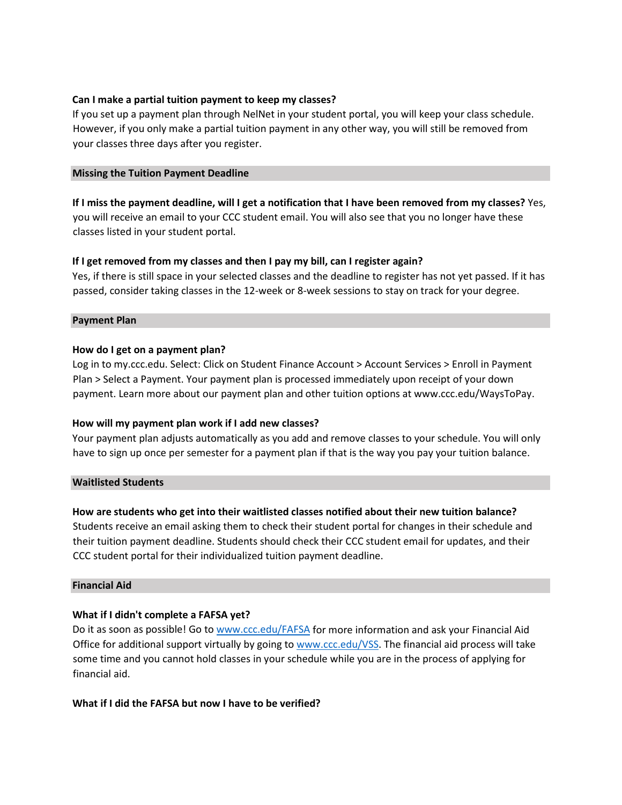## **Can I make a partial tuition payment to keep my classes?**

If you set up a payment plan through NelNet in your student portal, you will keep your class schedule. However, if you only make a partial tuition payment in any other way, you will still be removed from your classes three days after you register.

### **Missing the Tuition Payment Deadline**

**If I miss the payment deadline, will I get a notification that I have been removed from my classes?** Yes, you will receive an email to your CCC student email. You will also see that you no longer have these classes listed in your student portal.

## **If I get removed from my classes and then I pay my bill, can I register again?**

Yes, if there is still space in your selected classes and the deadline to register has not yet passed. If it has passed, consider taking classes in the 12-week or 8-week sessions to stay on track for your degree.

#### **Payment Plan**

## **How do I get on a payment plan?**

Log in to my.ccc.edu. Select: Click on Student Finance Account > Account Services > Enroll in Payment Plan > Select a Payment. Your payment plan is processed immediately upon receipt of your down payment. Learn more about our payment plan and other tuition options at www.ccc.edu/WaysToPay.

#### **How will my payment plan work if I add new classes?**

Your payment plan adjusts automatically as you add and remove classes to your schedule. You will only have to sign up once per semester for a payment plan if that is the way you pay your tuition balance.

#### **Waitlisted Students**

## **How are students who get into their waitlisted classes notified about their new tuition balance?**

Students receive an email asking them to check their student portal for changes in their schedule and their tuition payment deadline. Students should check their CCC student email for updates, and their CCC student portal for their individualized tuition payment deadline.

#### **Financial Aid**

## **What if I didn't complete a FAFSA yet?**

Do it as soon as possible! Go to [www.ccc.edu/FAFSA](http://www.ccc.edu/FAFSA) for more information and ask your Financial Aid Office for additional support virtually by going to [www.ccc.edu/VSS.](http://www.ccc.edu/VSS) The financial aid process will take some time and you cannot hold classes in your schedule while you are in the process of applying for financial aid.

#### **What if I did the FAFSA but now I have to be verified?**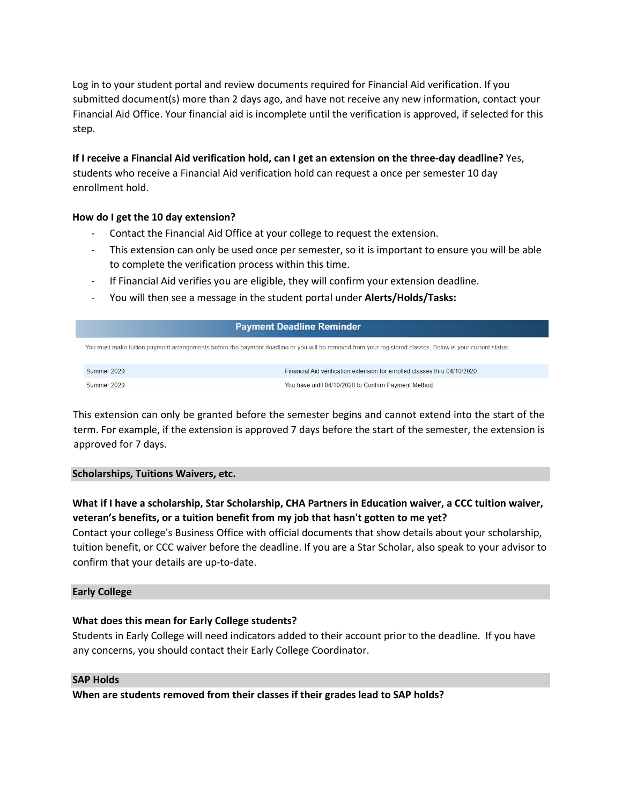Log in to your student portal and review documents required for Financial Aid verification. If you submitted document(s) more than 2 days ago, and have not receive any new information, contact your Financial Aid Office. Your financial aid is incomplete until the verification is approved, if selected for this step.

## **If I receive a Financial Aid verification hold, can I get an extension on the three-day deadline?** Yes,

students who receive a Financial Aid verification hold can request a once per semester 10 day enrollment hold.

## **How do I get the 10 day extension?**

- Contact the Financial Aid Office at your college to request the extension.
- This extension can only be used once per semester, so it is important to ensure you will be able to complete the verification process within this time.
- If Financial Aid verifies you are eligible, they will confirm your extension deadline.
- You will then see a message in the student portal under **Alerts/Holds/Tasks:**

#### **Payment Deadline Reminder**

You must make tuition payment arrangements before the payment deadline or you will be removed from your registered classes. Below is your current status:

| Summer 2020 | Financial Aid verification extension for enrolled classes thru 04/10/2020. |
|-------------|----------------------------------------------------------------------------|
| Summer 2020 | You have until 04/10/2020 to Confirm Payment Method.                       |

This extension can only be granted before the semester begins and cannot extend into the start of the term. For example, if the extension is approved 7 days before the start of the semester, the extension is approved for 7 days.

#### **Scholarships, Tuitions Waivers, etc.**

# **What if I have a scholarship, Star Scholarship, CHA Partners in Education waiver, a CCC tuition waiver, veteran's benefits, or a tuition benefit from my job that hasn't gotten to me yet?**

Contact your college's Business Office with official documents that show details about your scholarship, tuition benefit, or CCC waiver before the deadline. If you are a Star Scholar, also speak to your advisor to confirm that your details are up-to-date.

### **Early College**

## **What does this mean for Early College students?**

Students in Early College will need indicators added to their account prior to the deadline. If you have any concerns, you should contact their Early College Coordinator.

#### **SAP Holds**

**When are students removed from their classes if their grades lead to SAP holds?**